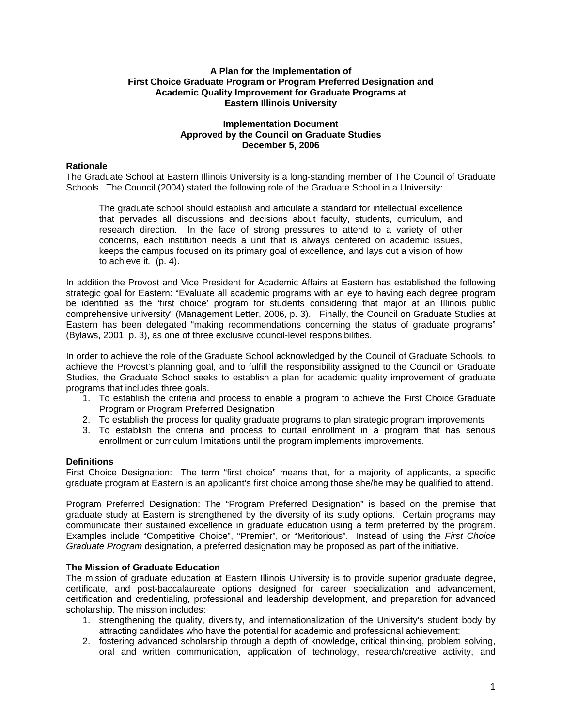### **A Plan for the Implementation of First Choice Graduate Program or Program Preferred Designation and Academic Quality Improvement for Graduate Programs at Eastern Illinois University**

## **Implementation Document Approved by the Council on Graduate Studies December 5, 2006**

## **Rationale**

The Graduate School at Eastern Illinois University is a long-standing member of The Council of Graduate Schools. The Council (2004) stated the following role of the Graduate School in a University:

The graduate school should establish and articulate a standard for intellectual excellence that pervades all discussions and decisions about faculty, students, curriculum, and research direction. In the face of strong pressures to attend to a variety of other concerns, each institution needs a unit that is always centered on academic issues, keeps the campus focused on its primary goal of excellence, and lays out a vision of how to achieve it*.* (p. 4).

In addition the Provost and Vice President for Academic Affairs at Eastern has established the following strategic goal for Eastern: "Evaluate all academic programs with an eye to having each degree program be identified as the 'first choice' program for students considering that major at an Illinois public comprehensive university" (Management Letter, 2006, p. 3). Finally, the Council on Graduate Studies at Eastern has been delegated "making recommendations concerning the status of graduate programs" (Bylaws, 2001, p. 3), as one of three exclusive council-level responsibilities.

In order to achieve the role of the Graduate School acknowledged by the Council of Graduate Schools, to achieve the Provost's planning goal, and to fulfill the responsibility assigned to the Council on Graduate Studies, the Graduate School seeks to establish a plan for academic quality improvement of graduate programs that includes three goals.

- 1. To establish the criteria and process to enable a program to achieve the First Choice Graduate Program or Program Preferred Designation
- 2. To establish the process for quality graduate programs to plan strategic program improvements
- 3. To establish the criteria and process to curtail enrollment in a program that has serious enrollment or curriculum limitations until the program implements improvements.

# **Definitions**

First Choice Designation: The term "first choice" means that, for a majority of applicants, a specific graduate program at Eastern is an applicant's first choice among those she/he may be qualified to attend.

Program Preferred Designation: The "Program Preferred Designation" is based on the premise that graduate study at Eastern is strengthened by the diversity of its study options. Certain programs may communicate their sustained excellence in graduate education using a term preferred by the program. Examples include "Competitive Choice", "Premier", or "Meritorious". Instead of using the *First Choice Graduate Program* designation, a preferred designation may be proposed as part of the initiative.

### T**he Mission of Graduate Education**

The mission of graduate education at Eastern Illinois University is to provide superior graduate degree, certificate, and post-baccalaureate options designed for career specialization and advancement, certification and credentialing, professional and leadership development, and preparation for advanced scholarship. The mission includes:

- 1. strengthening the quality, diversity, and internationalization of the University's student body by attracting candidates who have the potential for academic and professional achievement;
- 2. fostering advanced scholarship through a depth of knowledge, critical thinking, problem solving, oral and written communication, application of technology, research/creative activity, and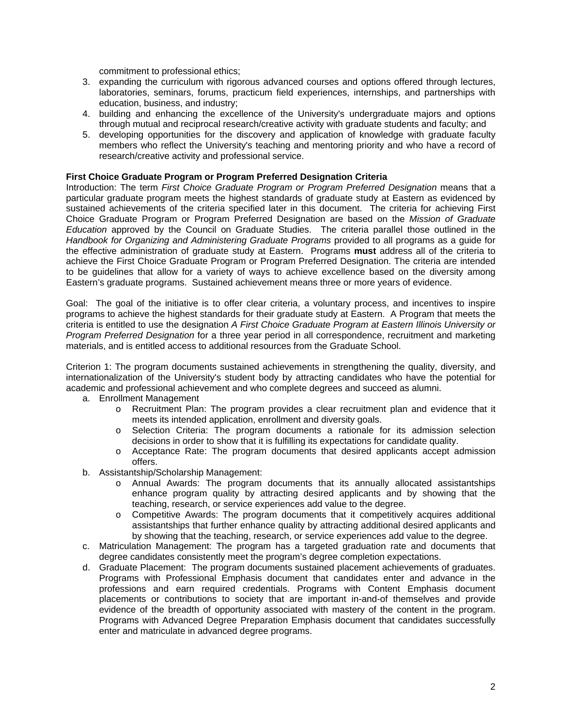commitment to professional ethics;

- 3. expanding the curriculum with rigorous advanced courses and options offered through lectures, laboratories, seminars, forums, practicum field experiences, internships, and partnerships with education, business, and industry;
- 4. building and enhancing the excellence of the University's undergraduate majors and options through mutual and reciprocal research/creative activity with graduate students and faculty; and
- 5. developing opportunities for the discovery and application of knowledge with graduate faculty members who reflect the University's teaching and mentoring priority and who have a record of research/creative activity and professional service.

## **First Choice Graduate Program or Program Preferred Designation Criteria**

Introduction: The term *First Choice Graduate Program or Program Preferred Designation* means that a particular graduate program meets the highest standards of graduate study at Eastern as evidenced by sustained achievements of the criteria specified later in this document. The criteria for achieving First Choice Graduate Program or Program Preferred Designation are based on the *Mission of Graduate Education* approved by the Council on Graduate Studies. The criteria parallel those outlined in the *Handbook for Organizing and Administering Graduate Programs* provided to all programs as a guide for the effective administration of graduate study at Eastern. Programs **must** address all of the criteria to achieve the First Choice Graduate Program or Program Preferred Designation. The criteria are intended to be guidelines that allow for a variety of ways to achieve excellence based on the diversity among Eastern's graduate programs. Sustained achievement means three or more years of evidence.

Goal: The goal of the initiative is to offer clear criteria, a voluntary process, and incentives to inspire programs to achieve the highest standards for their graduate study at Eastern. A Program that meets the criteria is entitled to use the designation *A First Choice Graduate Program at Eastern Illinois University or Program Preferred Designation* for a three year period in all correspondence, recruitment and marketing materials, and is entitled access to additional resources from the Graduate School.

Criterion 1: The program documents sustained achievements in strengthening the quality, diversity, and internationalization of the University's student body by attracting candidates who have the potential for academic and professional achievement and who complete degrees and succeed as alumni.

- a. Enrollment Management
	- o Recruitment Plan: The program provides a clear recruitment plan and evidence that it meets its intended application, enrollment and diversity goals.
	- o Selection Criteria: The program documents a rationale for its admission selection decisions in order to show that it is fulfilling its expectations for candidate quality.
	- o Acceptance Rate: The program documents that desired applicants accept admission offers.
- b. Assistantship/Scholarship Management:
	- o Annual Awards: The program documents that its annually allocated assistantships enhance program quality by attracting desired applicants and by showing that the teaching, research, or service experiences add value to the degree.
	- o Competitive Awards: The program documents that it competitively acquires additional assistantships that further enhance quality by attracting additional desired applicants and by showing that the teaching, research, or service experiences add value to the degree.
- c. Matriculation Management: The program has a targeted graduation rate and documents that degree candidates consistently meet the program's degree completion expectations.
- d. Graduate Placement: The program documents sustained placement achievements of graduates. Programs with Professional Emphasis document that candidates enter and advance in the professions and earn required credentials. Programs with Content Emphasis document placements or contributions to society that are important in-and-of themselves and provide evidence of the breadth of opportunity associated with mastery of the content in the program. Programs with Advanced Degree Preparation Emphasis document that candidates successfully enter and matriculate in advanced degree programs.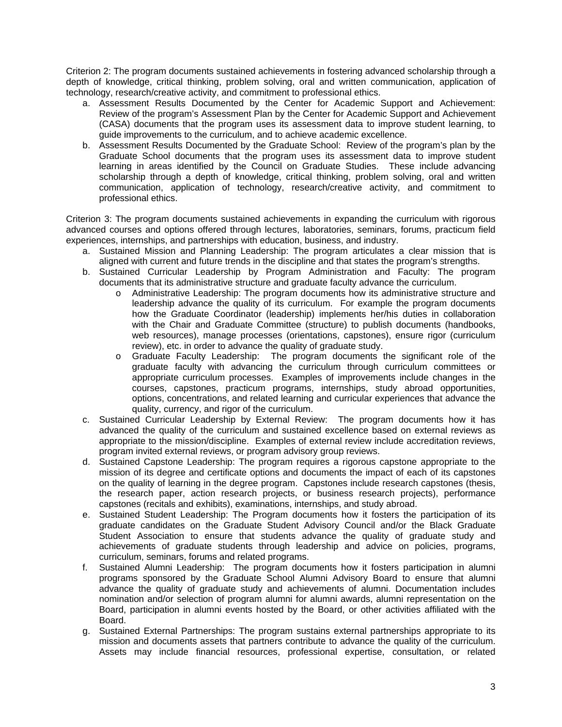Criterion 2: The program documents sustained achievements in fostering advanced scholarship through a depth of knowledge, critical thinking, problem solving, oral and written communication, application of technology, research/creative activity, and commitment to professional ethics.

- a. Assessment Results Documented by the Center for Academic Support and Achievement: Review of the program's Assessment Plan by the Center for Academic Support and Achievement (CASA) documents that the program uses its assessment data to improve student learning, to guide improvements to the curriculum, and to achieve academic excellence.
- b. Assessment Results Documented by the Graduate School: Review of the program's plan by the Graduate School documents that the program uses its assessment data to improve student learning in areas identified by the Council on Graduate Studies. These include advancing scholarship through a depth of knowledge, critical thinking, problem solving, oral and written communication, application of technology, research/creative activity, and commitment to professional ethics.

Criterion 3: The program documents sustained achievements in expanding the curriculum with rigorous advanced courses and options offered through lectures, laboratories, seminars, forums, practicum field experiences, internships, and partnerships with education, business, and industry.

- a. Sustained Mission and Planning Leadership: The program articulates a clear mission that is aligned with current and future trends in the discipline and that states the program's strengths.
- b. Sustained Curricular Leadership by Program Administration and Faculty: The program documents that its administrative structure and graduate faculty advance the curriculum.
	- o Administrative Leadership: The program documents how its administrative structure and leadership advance the quality of its curriculum. For example the program documents how the Graduate Coordinator (leadership) implements her/his duties in collaboration with the Chair and Graduate Committee (structure) to publish documents (handbooks, web resources), manage processes (orientations, capstones), ensure rigor (curriculum review), etc. in order to advance the quality of graduate study.
	- o Graduate Faculty Leadership: The program documents the significant role of the graduate faculty with advancing the curriculum through curriculum committees or appropriate curriculum processes. Examples of improvements include changes in the courses, capstones, practicum programs, internships, study abroad opportunities, options, concentrations, and related learning and curricular experiences that advance the quality, currency, and rigor of the curriculum.
- c. Sustained Curricular Leadership by External Review: The program documents how it has advanced the quality of the curriculum and sustained excellence based on external reviews as appropriate to the mission/discipline. Examples of external review include accreditation reviews, program invited external reviews, or program advisory group reviews.
- d. Sustained Capstone Leadership: The program requires a rigorous capstone appropriate to the mission of its degree and certificate options and documents the impact of each of its capstones on the quality of learning in the degree program. Capstones include research capstones (thesis, the research paper, action research projects, or business research projects), performance capstones (recitals and exhibits), examinations, internships, and study abroad.
- e. Sustained Student Leadership: The Program documents how it fosters the participation of its graduate candidates on the Graduate Student Advisory Council and/or the Black Graduate Student Association to ensure that students advance the quality of graduate study and achievements of graduate students through leadership and advice on policies, programs, curriculum, seminars, forums and related programs.
- f. Sustained Alumni Leadership: The program documents how it fosters participation in alumni programs sponsored by the Graduate School Alumni Advisory Board to ensure that alumni advance the quality of graduate study and achievements of alumni. Documentation includes nomination and/or selection of program alumni for alumni awards, alumni representation on the Board, participation in alumni events hosted by the Board, or other activities affiliated with the Board.
- g. Sustained External Partnerships: The program sustains external partnerships appropriate to its mission and documents assets that partners contribute to advance the quality of the curriculum. Assets may include financial resources, professional expertise, consultation, or related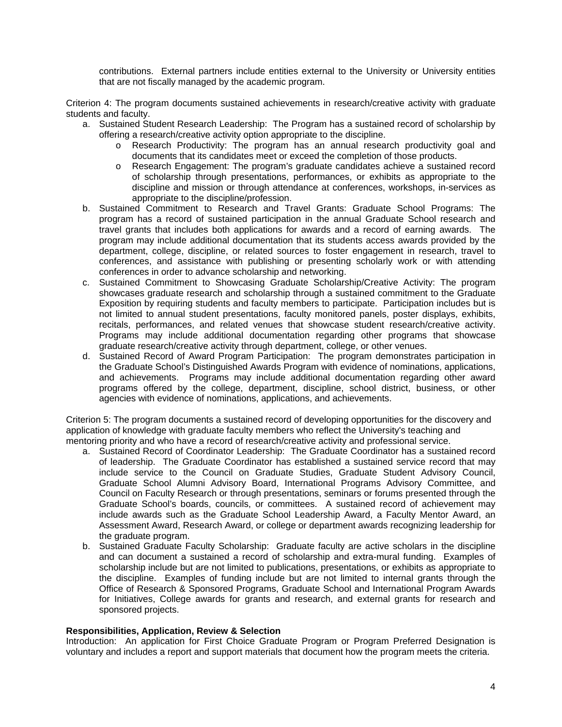contributions. External partners include entities external to the University or University entities that are not fiscally managed by the academic program.

Criterion 4: The program documents sustained achievements in research/creative activity with graduate students and faculty.

- a. Sustained Student Research Leadership: The Program has a sustained record of scholarship by offering a research/creative activity option appropriate to the discipline.
	- o Research Productivity: The program has an annual research productivity goal and documents that its candidates meet or exceed the completion of those products.
	- o Research Engagement: The program's graduate candidates achieve a sustained record of scholarship through presentations, performances, or exhibits as appropriate to the discipline and mission or through attendance at conferences, workshops, in-services as appropriate to the discipline/profession.
- b. Sustained Commitment to Research and Travel Grants: Graduate School Programs: The program has a record of sustained participation in the annual Graduate School research and travel grants that includes both applications for awards and a record of earning awards. The program may include additional documentation that its students access awards provided by the department, college, discipline, or related sources to foster engagement in research, travel to conferences, and assistance with publishing or presenting scholarly work or with attending conferences in order to advance scholarship and networking.
- c. Sustained Commitment to Showcasing Graduate Scholarship/Creative Activity: The program showcases graduate research and scholarship through a sustained commitment to the Graduate Exposition by requiring students and faculty members to participate. Participation includes but is not limited to annual student presentations, faculty monitored panels, poster displays, exhibits, recitals, performances, and related venues that showcase student research/creative activity. Programs may include additional documentation regarding other programs that showcase graduate research/creative activity through department, college, or other venues.
- d. Sustained Record of Award Program Participation: The program demonstrates participation in the Graduate School's Distinguished Awards Program with evidence of nominations, applications, and achievements. Programs may include additional documentation regarding other award programs offered by the college, department, discipline, school district, business, or other agencies with evidence of nominations, applications, and achievements.

Criterion 5: The program documents a sustained record of developing opportunities for the discovery and application of knowledge with graduate faculty members who reflect the University's teaching and mentoring priority and who have a record of research/creative activity and professional service.

- a. Sustained Record of Coordinator Leadership: The Graduate Coordinator has a sustained record of leadership. The Graduate Coordinator has established a sustained service record that may include service to the Council on Graduate Studies, Graduate Student Advisory Council, Graduate School Alumni Advisory Board, International Programs Advisory Committee, and Council on Faculty Research or through presentations, seminars or forums presented through the Graduate School's boards, councils, or committees. A sustained record of achievement may include awards such as the Graduate School Leadership Award, a Faculty Mentor Award, an Assessment Award, Research Award, or college or department awards recognizing leadership for the graduate program.
- b. Sustained Graduate Faculty Scholarship: Graduate faculty are active scholars in the discipline and can document a sustained a record of scholarship and extra-mural funding. Examples of scholarship include but are not limited to publications, presentations, or exhibits as appropriate to the discipline. Examples of funding include but are not limited to internal grants through the Office of Research & Sponsored Programs, Graduate School and International Program Awards for Initiatives, College awards for grants and research, and external grants for research and sponsored projects.

### **Responsibilities, Application, Review & Selection**

Introduction: An application for First Choice Graduate Program or Program Preferred Designation is voluntary and includes a report and support materials that document how the program meets the criteria.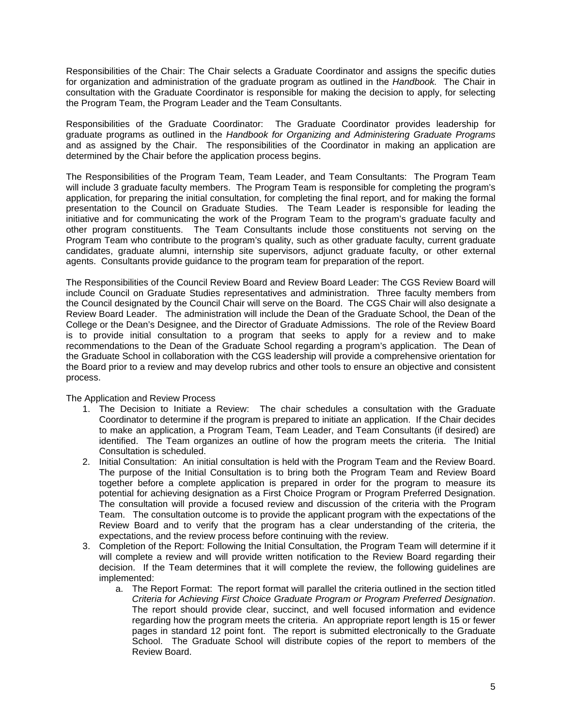Responsibilities of the Chair: The Chair selects a Graduate Coordinator and assigns the specific duties for organization and administration of the graduate program as outlined in the *Handbook.* The Chair in consultation with the Graduate Coordinator is responsible for making the decision to apply, for selecting the Program Team, the Program Leader and the Team Consultants.

Responsibilities of the Graduate Coordinator: The Graduate Coordinator provides leadership for graduate programs as outlined in the *Handbook for Organizing and Administering Graduate Programs* and as assigned by the Chair. The responsibilities of the Coordinator in making an application are determined by the Chair before the application process begins.

The Responsibilities of the Program Team, Team Leader, and Team Consultants: The Program Team will include 3 graduate faculty members. The Program Team is responsible for completing the program's application, for preparing the initial consultation, for completing the final report, and for making the formal presentation to the Council on Graduate Studies. The Team Leader is responsible for leading the initiative and for communicating the work of the Program Team to the program's graduate faculty and other program constituents. The Team Consultants include those constituents not serving on the Program Team who contribute to the program's quality, such as other graduate faculty, current graduate candidates, graduate alumni, internship site supervisors, adjunct graduate faculty, or other external agents. Consultants provide guidance to the program team for preparation of the report.

The Responsibilities of the Council Review Board and Review Board Leader: The CGS Review Board will include Council on Graduate Studies representatives and administration. Three faculty members from the Council designated by the Council Chair will serve on the Board. The CGS Chair will also designate a Review Board Leader. The administration will include the Dean of the Graduate School, the Dean of the College or the Dean's Designee, and the Director of Graduate Admissions. The role of the Review Board is to provide initial consultation to a program that seeks to apply for a review and to make recommendations to the Dean of the Graduate School regarding a program's application. The Dean of the Graduate School in collaboration with the CGS leadership will provide a comprehensive orientation for the Board prior to a review and may develop rubrics and other tools to ensure an objective and consistent process.

The Application and Review Process

- 1. The Decision to Initiate a Review: The chair schedules a consultation with the Graduate Coordinator to determine if the program is prepared to initiate an application. If the Chair decides to make an application, a Program Team, Team Leader, and Team Consultants (if desired) are identified. The Team organizes an outline of how the program meets the criteria. The Initial Consultation is scheduled.
- 2. Initial Consultation: An initial consultation is held with the Program Team and the Review Board. The purpose of the Initial Consultation is to bring both the Program Team and Review Board together before a complete application is prepared in order for the program to measure its potential for achieving designation as a First Choice Program or Program Preferred Designation. The consultation will provide a focused review and discussion of the criteria with the Program Team. The consultation outcome is to provide the applicant program with the expectations of the Review Board and to verify that the program has a clear understanding of the criteria, the expectations, and the review process before continuing with the review.
- 3. Completion of the Report: Following the Initial Consultation, the Program Team will determine if it will complete a review and will provide written notification to the Review Board regarding their decision. If the Team determines that it will complete the review, the following guidelines are implemented:
	- a. The Report Format: The report format will parallel the criteria outlined in the section titled *Criteria for Achieving First Choice Graduate Program or Program Preferred Designation*. The report should provide clear, succinct, and well focused information and evidence regarding how the program meets the criteria. An appropriate report length is 15 or fewer pages in standard 12 point font. The report is submitted electronically to the Graduate School. The Graduate School will distribute copies of the report to members of the Review Board.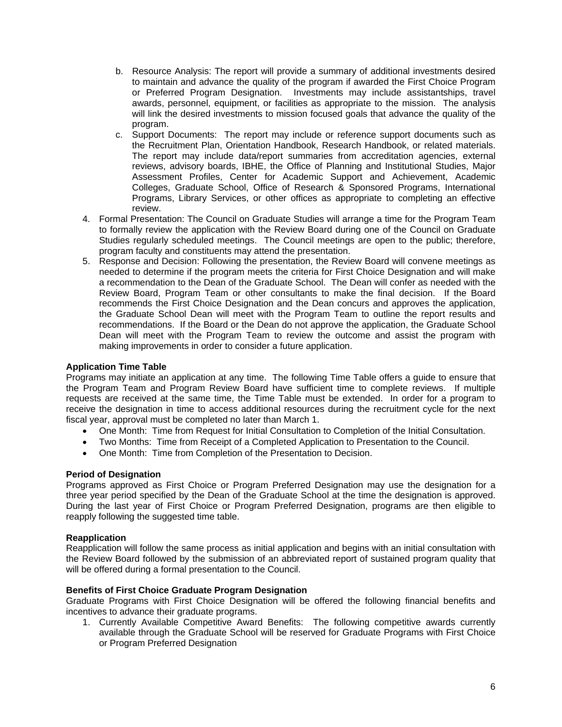- b. Resource Analysis: The report will provide a summary of additional investments desired to maintain and advance the quality of the program if awarded the First Choice Program or Preferred Program Designation. Investments may include assistantships, travel awards, personnel, equipment, or facilities as appropriate to the mission. The analysis will link the desired investments to mission focused goals that advance the quality of the program.
- c. Support Documents: The report may include or reference support documents such as the Recruitment Plan, Orientation Handbook, Research Handbook, or related materials. The report may include data/report summaries from accreditation agencies, external reviews, advisory boards, IBHE, the Office of Planning and Institutional Studies, Major Assessment Profiles, Center for Academic Support and Achievement, Academic Colleges, Graduate School, Office of Research & Sponsored Programs, International Programs, Library Services, or other offices as appropriate to completing an effective review.
- 4. Formal Presentation: The Council on Graduate Studies will arrange a time for the Program Team to formally review the application with the Review Board during one of the Council on Graduate Studies regularly scheduled meetings. The Council meetings are open to the public; therefore, program faculty and constituents may attend the presentation.
- 5. Response and Decision: Following the presentation, the Review Board will convene meetings as needed to determine if the program meets the criteria for First Choice Designation and will make a recommendation to the Dean of the Graduate School. The Dean will confer as needed with the Review Board, Program Team or other consultants to make the final decision. If the Board recommends the First Choice Designation and the Dean concurs and approves the application, the Graduate School Dean will meet with the Program Team to outline the report results and recommendations. If the Board or the Dean do not approve the application, the Graduate School Dean will meet with the Program Team to review the outcome and assist the program with making improvements in order to consider a future application.

# **Application Time Table**

Programs may initiate an application at any time. The following Time Table offers a guide to ensure that the Program Team and Program Review Board have sufficient time to complete reviews. If multiple requests are received at the same time, the Time Table must be extended. In order for a program to receive the designation in time to access additional resources during the recruitment cycle for the next fiscal year, approval must be completed no later than March 1.

- One Month: Time from Request for Initial Consultation to Completion of the Initial Consultation.
- Two Months: Time from Receipt of a Completed Application to Presentation to the Council.
- One Month: Time from Completion of the Presentation to Decision.

## **Period of Designation**

Programs approved as First Choice or Program Preferred Designation may use the designation for a three year period specified by the Dean of the Graduate School at the time the designation is approved. During the last year of First Choice or Program Preferred Designation, programs are then eligible to reapply following the suggested time table.

### **Reapplication**

Reapplication will follow the same process as initial application and begins with an initial consultation with the Review Board followed by the submission of an abbreviated report of sustained program quality that will be offered during a formal presentation to the Council.

### **Benefits of First Choice Graduate Program Designation**

Graduate Programs with First Choice Designation will be offered the following financial benefits and incentives to advance their graduate programs.

1. Currently Available Competitive Award Benefits: The following competitive awards currently available through the Graduate School will be reserved for Graduate Programs with First Choice or Program Preferred Designation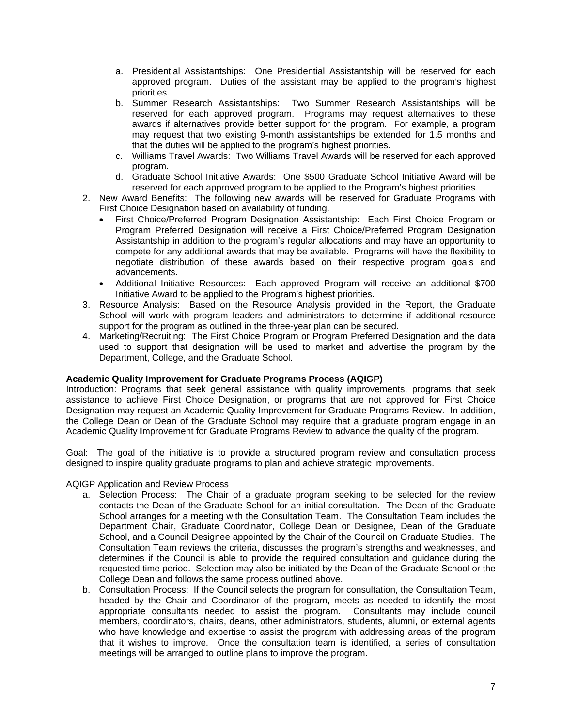- a. Presidential Assistantships: One Presidential Assistantship will be reserved for each approved program. Duties of the assistant may be applied to the program's highest priorities.
- b. Summer Research Assistantships: Two Summer Research Assistantships will be reserved for each approved program. Programs may request alternatives to these awards if alternatives provide better support for the program. For example, a program may request that two existing 9-month assistantships be extended for 1.5 months and that the duties will be applied to the program's highest priorities.
- c. Williams Travel Awards: Two Williams Travel Awards will be reserved for each approved program.
- d. Graduate School Initiative Awards: One \$500 Graduate School Initiative Award will be reserved for each approved program to be applied to the Program's highest priorities.
- 2. New Award Benefits: The following new awards will be reserved for Graduate Programs with First Choice Designation based on availability of funding.
	- First Choice/Preferred Program Designation Assistantship: Each First Choice Program or Program Preferred Designation will receive a First Choice/Preferred Program Designation Assistantship in addition to the program's regular allocations and may have an opportunity to compete for any additional awards that may be available. Programs will have the flexibility to negotiate distribution of these awards based on their respective program goals and advancements.
	- Additional Initiative Resources: Each approved Program will receive an additional \$700 Initiative Award to be applied to the Program's highest priorities.
- 3. Resource Analysis: Based on the Resource Analysis provided in the Report, the Graduate School will work with program leaders and administrators to determine if additional resource support for the program as outlined in the three-year plan can be secured.
- 4. Marketing/Recruiting: The First Choice Program or Program Preferred Designation and the data used to support that designation will be used to market and advertise the program by the Department, College, and the Graduate School.

# **Academic Quality Improvement for Graduate Programs Process (AQIGP)**

Introduction: Programs that seek general assistance with quality improvements, programs that seek assistance to achieve First Choice Designation, or programs that are not approved for First Choice Designation may request an Academic Quality Improvement for Graduate Programs Review. In addition, the College Dean or Dean of the Graduate School may require that a graduate program engage in an Academic Quality Improvement for Graduate Programs Review to advance the quality of the program.

Goal: The goal of the initiative is to provide a structured program review and consultation process designed to inspire quality graduate programs to plan and achieve strategic improvements.

AQIGP Application and Review Process

- a. Selection Process: The Chair of a graduate program seeking to be selected for the review contacts the Dean of the Graduate School for an initial consultation. The Dean of the Graduate School arranges for a meeting with the Consultation Team. The Consultation Team includes the Department Chair, Graduate Coordinator, College Dean or Designee, Dean of the Graduate School, and a Council Designee appointed by the Chair of the Council on Graduate Studies. The Consultation Team reviews the criteria, discusses the program's strengths and weaknesses, and determines if the Council is able to provide the required consultation and guidance during the requested time period. Selection may also be initiated by the Dean of the Graduate School or the College Dean and follows the same process outlined above.
- b. Consultation Process: If the Council selects the program for consultation, the Consultation Team, headed by the Chair and Coordinator of the program, meets as needed to identify the most appropriate consultants needed to assist the program. Consultants may include council members, coordinators, chairs, deans, other administrators, students, alumni, or external agents who have knowledge and expertise to assist the program with addressing areas of the program that it wishes to improve. Once the consultation team is identified, a series of consultation meetings will be arranged to outline plans to improve the program.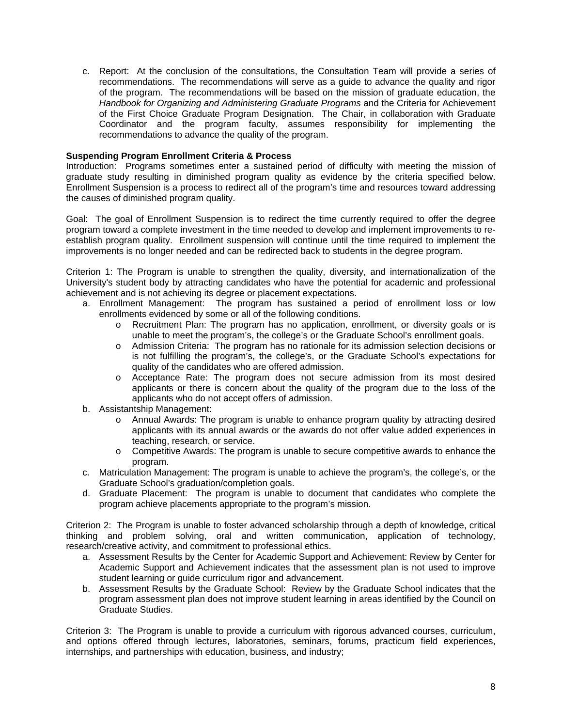c. Report: At the conclusion of the consultations, the Consultation Team will provide a series of recommendations. The recommendations will serve as a guide to advance the quality and rigor of the program. The recommendations will be based on the mission of graduate education, the *Handbook for Organizing and Administering Graduate Programs* and the Criteria for Achievement of the First Choice Graduate Program Designation. The Chair, in collaboration with Graduate Coordinator and the program faculty, assumes responsibility for implementing the recommendations to advance the quality of the program.

## **Suspending Program Enrollment Criteria & Process**

Introduction:Programs sometimes enter a sustained period of difficulty with meeting the mission of graduate study resulting in diminished program quality as evidence by the criteria specified below. Enrollment Suspension is a process to redirect all of the program's time and resources toward addressing the causes of diminished program quality.

Goal: The goal of Enrollment Suspension is to redirect the time currently required to offer the degree program toward a complete investment in the time needed to develop and implement improvements to reestablish program quality. Enrollment suspension will continue until the time required to implement the improvements is no longer needed and can be redirected back to students in the degree program.

Criterion 1: The Program is unable to strengthen the quality, diversity, and internationalization of the University's student body by attracting candidates who have the potential for academic and professional achievement and is not achieving its degree or placement expectations.

- a. Enrollment Management: The program has sustained a period of enrollment loss or low enrollments evidenced by some or all of the following conditions.
	- o Recruitment Plan: The program has no application, enrollment, or diversity goals or is unable to meet the program's, the college's or the Graduate School's enrollment goals.
	- o Admission Criteria: The program has no rationale for its admission selection decisions or is not fulfilling the program's, the college's, or the Graduate School's expectations for quality of the candidates who are offered admission.
	- o Acceptance Rate: The program does not secure admission from its most desired applicants or there is concern about the quality of the program due to the loss of the applicants who do not accept offers of admission.
- b. Assistantship Management:
	- o Annual Awards: The program is unable to enhance program quality by attracting desired applicants with its annual awards or the awards do not offer value added experiences in teaching, research, or service.
	- o Competitive Awards: The program is unable to secure competitive awards to enhance the program.
- c. Matriculation Management: The program is unable to achieve the program's, the college's, or the Graduate School's graduation/completion goals.
- d. Graduate Placement: The program is unable to document that candidates who complete the program achieve placements appropriate to the program's mission.

Criterion 2: The Program is unable to foster advanced scholarship through a depth of knowledge, critical thinking and problem solving, oral and written communication, application of technology, research/creative activity, and commitment to professional ethics.

- a. Assessment Results by the Center for Academic Support and Achievement: Review by Center for Academic Support and Achievement indicates that the assessment plan is not used to improve student learning or guide curriculum rigor and advancement.
- b. Assessment Results by the Graduate School: Review by the Graduate School indicates that the program assessment plan does not improve student learning in areas identified by the Council on Graduate Studies.

Criterion 3: The Program is unable to provide a curriculum with rigorous advanced courses, curriculum, and options offered through lectures, laboratories, seminars, forums, practicum field experiences, internships, and partnerships with education, business, and industry;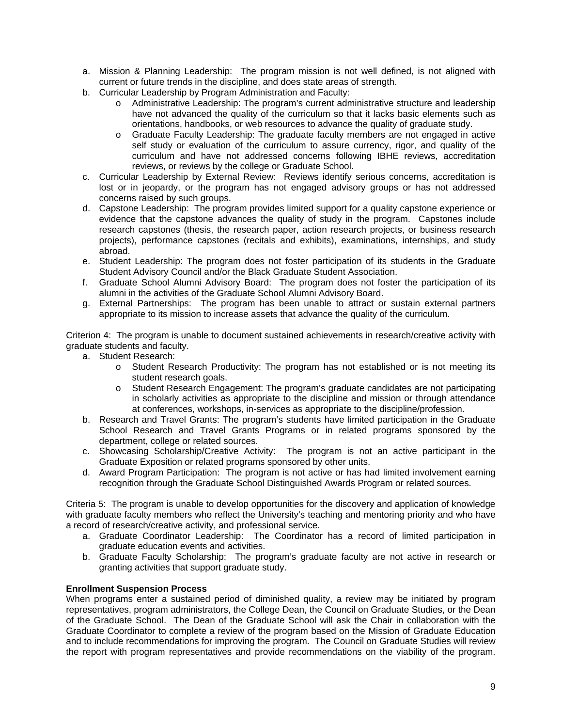- a. Mission & Planning Leadership: The program mission is not well defined, is not aligned with current or future trends in the discipline, and does state areas of strength.
- b. Curricular Leadership by Program Administration and Faculty:
	- o Administrative Leadership: The program's current administrative structure and leadership have not advanced the quality of the curriculum so that it lacks basic elements such as orientations, handbooks, or web resources to advance the quality of graduate study.
	- o Graduate Faculty Leadership: The graduate faculty members are not engaged in active self study or evaluation of the curriculum to assure currency, rigor, and quality of the curriculum and have not addressed concerns following IBHE reviews, accreditation reviews, or reviews by the college or Graduate School.
- c. Curricular Leadership by External Review: Reviews identify serious concerns, accreditation is lost or in jeopardy, or the program has not engaged advisory groups or has not addressed concerns raised by such groups.
- d. Capstone Leadership: The program provides limited support for a quality capstone experience or evidence that the capstone advances the quality of study in the program. Capstones include research capstones (thesis, the research paper, action research projects, or business research projects), performance capstones (recitals and exhibits), examinations, internships, and study abroad.
- e. Student Leadership: The program does not foster participation of its students in the Graduate Student Advisory Council and/or the Black Graduate Student Association.
- f. Graduate School Alumni Advisory Board: The program does not foster the participation of its alumni in the activities of the Graduate School Alumni Advisory Board.
- g. External Partnerships: The program has been unable to attract or sustain external partners appropriate to its mission to increase assets that advance the quality of the curriculum.

Criterion 4: The program is unable to document sustained achievements in research/creative activity with graduate students and faculty.

- a. Student Research:
	- o Student Research Productivity: The program has not established or is not meeting its student research goals.
	- o Student Research Engagement: The program's graduate candidates are not participating in scholarly activities as appropriate to the discipline and mission or through attendance at conferences, workshops, in-services as appropriate to the discipline/profession.
- b. Research and Travel Grants: The program's students have limited participation in the Graduate School Research and Travel Grants Programs or in related programs sponsored by the department, college or related sources.
- c. Showcasing Scholarship/Creative Activity: The program is not an active participant in the Graduate Exposition or related programs sponsored by other units.
- d. Award Program Participation: The program is not active or has had limited involvement earning recognition through the Graduate School Distinguished Awards Program or related sources.

Criteria 5: The program is unable to develop opportunities for the discovery and application of knowledge with graduate faculty members who reflect the University's teaching and mentoring priority and who have a record of research/creative activity, and professional service.

- a. Graduate Coordinator Leadership: The Coordinator has a record of limited participation in graduate education events and activities.
- b. Graduate Faculty Scholarship: The program's graduate faculty are not active in research or granting activities that support graduate study.

# **Enrollment Suspension Process**

When programs enter a sustained period of diminished quality, a review may be initiated by program representatives, program administrators, the College Dean, the Council on Graduate Studies, or the Dean of the Graduate School. The Dean of the Graduate School will ask the Chair in collaboration with the Graduate Coordinator to complete a review of the program based on the Mission of Graduate Education and to include recommendations for improving the program. The Council on Graduate Studies will review the report with program representatives and provide recommendations on the viability of the program.